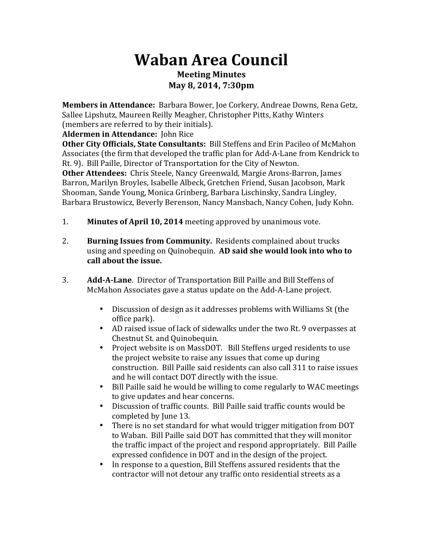## **Waban%Area%Council Meeting Minutes May%8,%2014,%7:30pm**

**Members in Attendance:** Barbara Bower, Joe Corkery, Andreae Downs, Rena Getz, Sallee Lipshutz, Maureen Reilly Meagher, Christopher Pitts, Kathy Winters (members are referred to by their initials).

**Aldermen in Attendance:** John Rice

**Other City Officials, State Consultants:** Bill Steffens and Erin Pacileo of McMahon Associates (the firm that developed the traffic plan for Add-A-Lane from Kendrick to Rt. 9). Bill Paille, Director of Transportation for the City of Newton. **Other Attendees:** Chris Steele, Nancy Greenwald, Margie Arons-Barron, James Barron, Marilyn Broyles, Isabelle Albeck, Gretchen Friend, Susan Jacobson, Mark Shooman, Sande Young, Monica Grinberg, Barbara Lischinsky, Sandra Lingley, Barbara Brustowicz, Beverly Berenson, Nancy Mansbach, Nancy Cohen, Judy Kohn.

- 1. **Minutes of April 10, 2014** meeting approved by unanimous vote.
- 2. **Burning Issues from Community.** Residents complained about trucks using and speeding on Quinobequin. AD said she would look into who to call about the issue.
- 3. **Add-A-Lane**. Director of Transportation Bill Paille and Bill Steffens of McMahon Associates gave a status update on the Add-A-Lane project.
	- Discussion of design as it addresses problems with Williams St (the office park).
	- AD raised issue of lack of sidewalks under the two Rt. 9 overpasses at Chestnut St. and Quinobequin.
	- Project website is on MassDOT. Bill Steffens urged residents to use the project website to raise any issues that come up during construction. Bill Paille said residents can also call 311 to raise issues and he will contact DOT directly with the issue.
	- Bill Paille said he would be willing to come regularly to WAC meetings to give updates and hear concerns.
	- Discussion of traffic counts. Bill Paille said traffic counts would be completed by June 13.
	- There is no set standard for what would trigger mitigation from DOT to Waban. Bill Paille said DOT has committed that they will monitor the traffic impact of the project and respond appropriately. Bill Paille expressed confidence in DOT and in the design of the project.
	- In response to a question, Bill Steffens assured residents that the contractor will not detour any traffic onto residential streets as a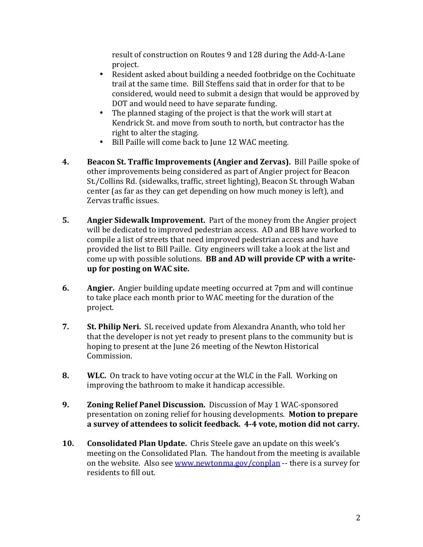result of construction on Routes 9 and 128 during the Add-A-Lane project.

- Resident asked about building a needed footbridge on the Cochituate trail at the same time. Bill Steffens said that in order for that to be considered, would need to submit a design that would be approved by DOT and would need to have separate funding.
- The planned staging of the project is that the work will start at  $\cdot$ Kendrick St. and move from south to north, but contractor has the right to alter the staging.
- Bill Paille will come back to June 12 WAC meeting.
- **4. Beacon St. Traffic Improvements (Angier and Zervas).** Bill Paille spoke of other improvements being considered as part of Angier project for Beacon St./Collins Rd. (sidewalks, traffic, street lighting), Beacon St. through Waban center (as far as they can get depending on how much money is left), and Zervas traffic issues.
- **5. Angier Sidewalk Improvement.** Part of the money from the Angier project will be dedicated to improved pedestrian access. AD and BB have worked to compile a list of streets that need improved pedestrian access and have provided the list to Bill Paille. City engineers will take a look at the list and come up with possible solutions. **BB and AD will provide CP with a write**up for posting on WAC site.
- **6. Angier.** Angier building update meeting occurred at 7pm and will continue to take place each month prior to WAC meeting for the duration of the project.
- **7. St. Philip Neri.** SL received update from Alexandra Ananth, who told her that the developer is not yet ready to present plans to the community but is hoping to present at the June 26 meeting of the Newton Historical Commission.
- **8. WLC.** On track to have voting occur at the WLC in the Fall. Working on improving the bathroom to make it handicap accessible.
- **9. Zoning%Relief%Panel%Discussion.%%**Discussion!of!May!1!WACKsponsored! presentation on zoning relief for housing developments. **Motion to prepare** a survey of attendees to solicit feedback. 4-4 vote, motion did not carry.
- **10. Consolidated Plan Update.** Chris Steele gave an update on this week's meeting on the Consolidated Plan. The handout from the meeting is available on the website. Also see www.newtonma.gov/conplan -- there is a survey for residents to fill out.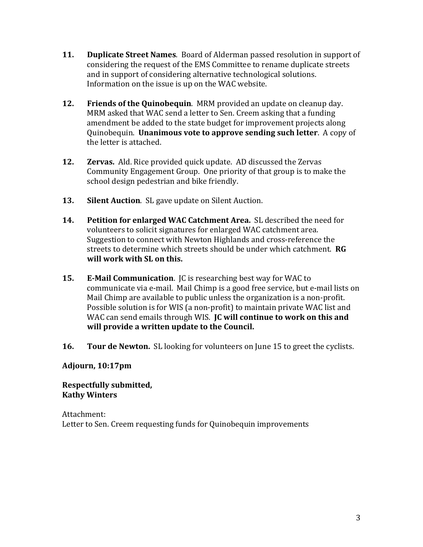- **11. Duplicate Street Names**. Board of Alderman passed resolution in support of considering the request of the EMS Committee to rename duplicate streets and in support of considering alternative technological solutions. Information on the issue is up on the WAC website.
- **12. Friends of the Quinobequin**. MRM provided an update on cleanup day. MRM asked that WAC send a letter to Sen. Creem asking that a funding amendment be added to the state budget for improvement projects along Quinobequin. **Unanimous vote to approve sending such letter**. A copy of the letter is attached.
- **12. Zervas.** Ald. Rice provided quick update. AD discussed the Zervas Community Engagement Group. One priority of that group is to make the school design pedestrian and bike friendly.
- **13.** Silent Auction. SL gave update on Silent Auction.
- **14. Petition for enlarged WAC Catchment Area.** SL described the need for volunteers to solicit signatures for enlarged WAC catchment area. Suggestion to connect with Newton Highlands and cross-reference the streets to determine which streets should be under which catchment. **RG** will work with SL on this.
- **15. E-Mail Communication.** IC is researching best way for WAC to communicate via e-mail. Mail Chimp is a good free service, but e-mail lists on Mail Chimp are available to public unless the organization is a non-profit. Possible solution is for WIS (a non-profit) to maintain private WAC list and WAC can send emails through WIS. **JC will continue to work on this and** will provide a written update to the Council.
- **16. Tour de Newton.** SL looking for volunteers on June 15 to greet the cyclists.

### **Adjourn,%10:17pm**

### **Respectfully%submitted, Kathy Winters**

Attachment: Letter to Sen. Creem requesting funds for Quinobequin improvements